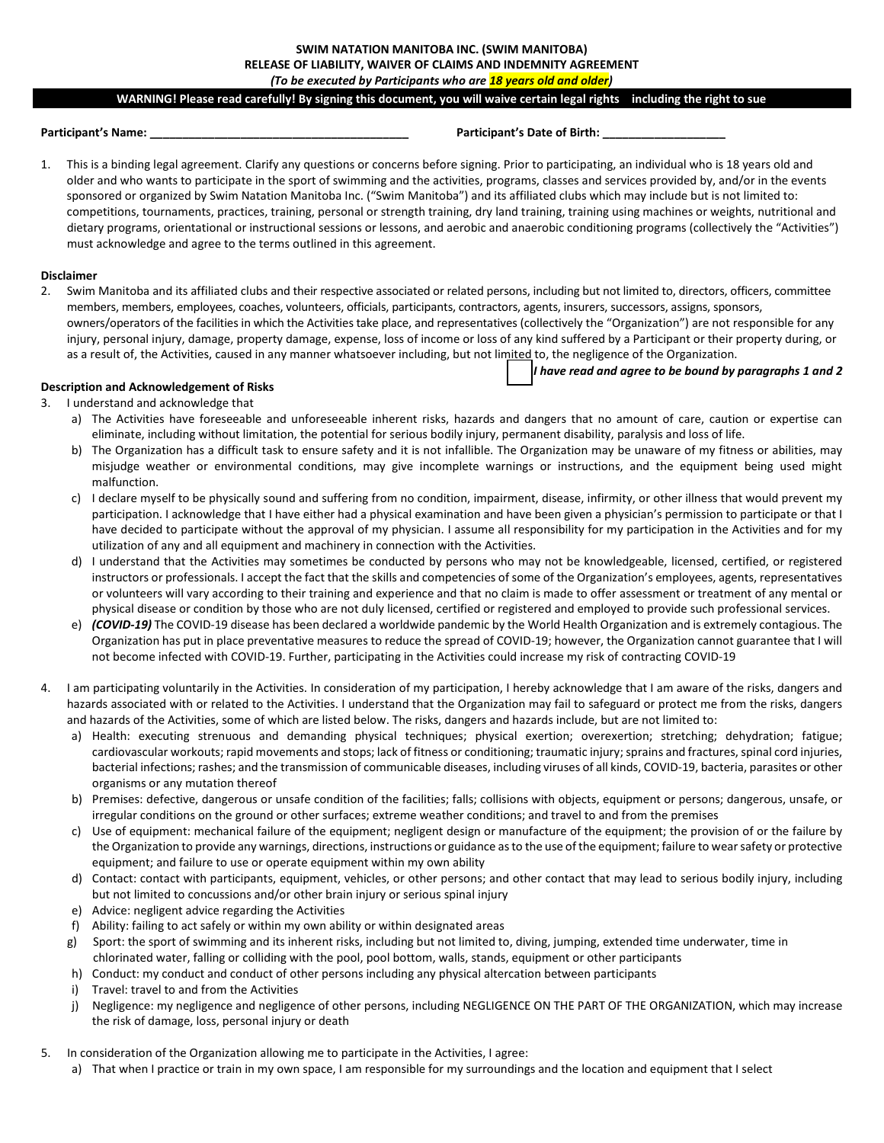# **SWIM NATATION MANITOBA INC. (SWIM MANITOBA) RELEASE OF LIABILITY, WAIVER OF CLAIMS AND INDEMNITY AGREEMENT**

*(To be executed by Participants who are 18 years old and older)* 

#### **WARNING! Please read carefully! By signing this document, you will waive certain legal rights – including the right to sue**

#### **Participant's Name: \_\_\_\_\_\_\_\_\_\_\_\_\_\_\_\_\_\_\_\_\_\_\_\_\_\_\_\_\_\_\_\_\_\_\_\_\_\_\_\_ Participant's Date of Birth: \_\_\_\_\_\_\_\_\_\_\_\_\_\_\_\_\_\_\_**

*I have read and agree to be bound by paragraphs 1 and 2*

1. This is a binding legal agreement. Clarify any questions or concerns before signing. Prior to participating, an individual who is 18 years old and older and who wants to participate in the sport of swimming and the activities, programs, classes and services provided by, and/or in the events sponsored or organized by Swim Natation Manitoba Inc. ("Swim Manitoba") and its affiliated clubs which may include but is not limited to: competitions, tournaments, practices, training, personal or strength training, dry land training, training using machines or weights, nutritional and dietary programs, orientational or instructional sessions or lessons, and aerobic and anaerobic conditioning programs (collectively the "Activities") must acknowledge and agree to the terms outlined in this agreement.

#### **Disclaimer**

2. Swim Manitoba and its affiliated clubs and their respective associated or related persons, including but not limited to, directors, officers, committee members, members, employees, coaches, volunteers, officials, participants, contractors, agents, insurers, successors, assigns, sponsors, owners/operators of the facilities in which the Activities take place, and representatives (collectively the "Organization") are not responsible for any injury, personal injury, damage, property damage, expense, loss of income or loss of any kind suffered by a Participant or their property during, or as a result of, the Activities, caused in any manner whatsoever including, but not limited to, the negligence of the Organization.

#### **Description and Acknowledgement of Risks**

- 3. I understand and acknowledge that
	- a) The Activities have foreseeable and unforeseeable inherent risks, hazards and dangers that no amount of care, caution or expertise can eliminate, including without limitation, the potential for serious bodily injury, permanent disability, paralysis and loss of life.
	- b) The Organization has a difficult task to ensure safety and it is not infallible. The Organization may be unaware of my fitness or abilities, may misjudge weather or environmental conditions, may give incomplete warnings or instructions, and the equipment being used might malfunction.
	- c) I declare myself to be physically sound and suffering from no condition, impairment, disease, infirmity, or other illness that would prevent my participation. I acknowledge that I have either had a physical examination and have been given a physician's permission to participate or that I have decided to participate without the approval of my physician. I assume all responsibility for my participation in the Activities and for my utilization of any and all equipment and machinery in connection with the Activities.
	- d) I understand that the Activities may sometimes be conducted by persons who may not be knowledgeable, licensed, certified, or registered instructors or professionals. I accept the fact that the skills and competencies of some of the Organization's employees, agents, representatives or volunteers will vary according to their training and experience and that no claim is made to offer assessment or treatment of any mental or physical disease or condition by those who are not duly licensed, certified or registered and employed to provide such professional services.
	- e) *(COVID-19)* The COVID-19 disease has been declared a worldwide pandemic by the World Health Organization and is extremely contagious. The Organization has put in place preventative measures to reduce the spread of COVID-19; however, the Organization cannot guarantee that I will not become infected with COVID-19. Further, participating in the Activities could increase my risk of contracting COVID-19
- 4. I am participating voluntarily in the Activities. In consideration of my participation, I hereby acknowledge that I am aware of the risks, dangers and hazards associated with or related to the Activities. I understand that the Organization may fail to safeguard or protect me from the risks, dangers and hazards of the Activities, some of which are listed below. The risks, dangers and hazards include, but are not limited to:
	- a) Health: executing strenuous and demanding physical techniques; physical exertion; overexertion; stretching; dehydration; fatigue; cardiovascular workouts; rapid movements and stops; lack of fitness or conditioning; traumatic injury; sprains and fractures, spinal cord injuries, bacterial infections; rashes; and the transmission of communicable diseases, including viruses of all kinds, COVID-19, bacteria, parasites or other organisms or any mutation thereof
	- b) Premises: defective, dangerous or unsafe condition of the facilities; falls; collisions with objects, equipment or persons; dangerous, unsafe, or irregular conditions on the ground or other surfaces; extreme weather conditions; and travel to and from the premises
	- c) Use of equipment: mechanical failure of the equipment; negligent design or manufacture of the equipment; the provision of or the failure by the Organization to provide any warnings, directions, instructions or guidance as to the use of the equipment; failure to wear safety or protective equipment; and failure to use or operate equipment within my own ability
	- d) Contact: contact with participants, equipment, vehicles, or other persons; and other contact that may lead to serious bodily injury, including but not limited to concussions and/or other brain injury or serious spinal injury
	- e) Advice: negligent advice regarding the Activities
	- f) Ability: failing to act safely or within my own ability or within designated areas
	- g) Sport: the sport of swimming and its inherent risks, including but not limited to, diving, jumping, extended time underwater, time in chlorinated water, falling or colliding with the pool, pool bottom, walls, stands, equipment or other participants
	- h) Conduct: my conduct and conduct of other persons including any physical altercation between participants
	- i) Travel: travel to and from the Activities
	- j) Negligence: my negligence and negligence of other persons, including NEGLIGENCE ON THE PART OF THE ORGANIZATION, which may increase the risk of damage, loss, personal injury or death
- 5. In consideration of the Organization allowing me to participate in the Activities, I agree:
	- a) That when I practice or train in my own space, I am responsible for my surroundings and the location and equipment that I select